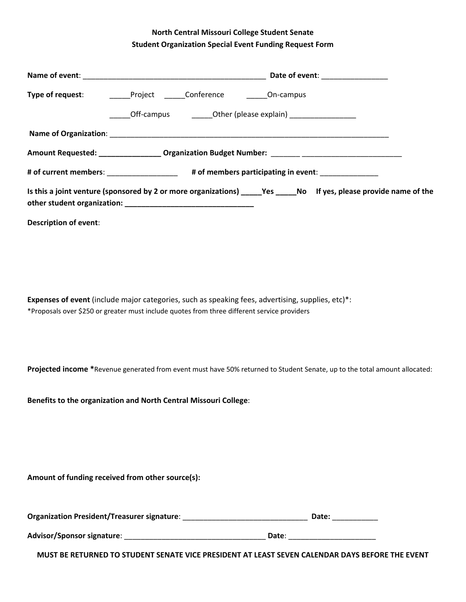## **North Central Missouri College Student Senate Student Organization Special Event Funding Request Form**

| Type of request: _________Project _______Conference __________On-campus                                  |                                                                                             |  |                                                                                                                      |  |  |
|----------------------------------------------------------------------------------------------------------|---------------------------------------------------------------------------------------------|--|----------------------------------------------------------------------------------------------------------------------|--|--|
|                                                                                                          | ______Off-campus ___________Other (please explain) ____________________                     |  |                                                                                                                      |  |  |
|                                                                                                          |                                                                                             |  |                                                                                                                      |  |  |
|                                                                                                          |                                                                                             |  | Amount Requested: _________________ Organization Budget Number: _______ ___________________________                  |  |  |
|                                                                                                          | # of current members: __________________ # of members participating in event: _____________ |  |                                                                                                                      |  |  |
|                                                                                                          |                                                                                             |  | Is this a joint venture (sponsored by 2 or more organizations) ______Yes ______No If yes, please provide name of the |  |  |
| <b>Description of event:</b>                                                                             |                                                                                             |  |                                                                                                                      |  |  |
|                                                                                                          |                                                                                             |  |                                                                                                                      |  |  |
|                                                                                                          |                                                                                             |  |                                                                                                                      |  |  |
|                                                                                                          |                                                                                             |  |                                                                                                                      |  |  |
| <b>Expenses of event</b> (include major categories, such as speaking fees, advertising, supplies, etc)*: |                                                                                             |  |                                                                                                                      |  |  |
| *Proposals over \$250 or greater must include quotes from three different service providers              |                                                                                             |  |                                                                                                                      |  |  |

**Projected income \***Revenue generated from event must have 50% returned to Student Senate, up to the total amount allocated:

**Benefits to the organization and North Central Missouri College**:

**Amount of funding received from other source(s):**

| <b>Organization President/Treasurer signature:</b> | Date: |  |
|----------------------------------------------------|-------|--|
|----------------------------------------------------|-------|--|

**Advisor/Sponsor signature**: \_\_\_\_\_\_\_\_\_\_\_\_\_\_\_\_\_\_\_\_\_\_\_\_\_\_\_\_\_\_\_\_\_\_ **Date**: \_\_\_\_\_\_\_\_\_\_\_\_\_\_\_\_\_\_\_\_\_

**MUST BE RETURNED TO STUDENT SENATE VICE PRESIDENT AT LEAST SEVEN CALENDAR DAYS BEFORE THE EVENT**